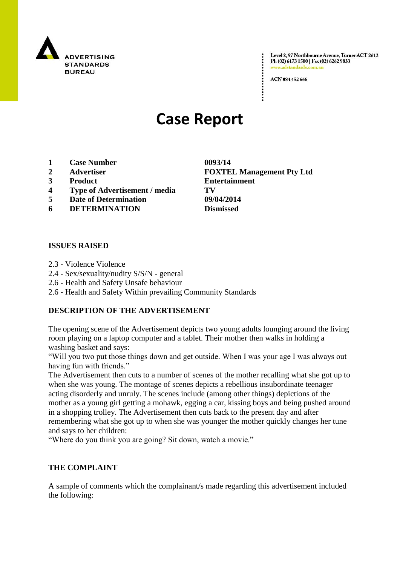

Level 2, 97 Northbourne Avenue, Turner ACT 2612 Ph (02) 6173 1500 | Fax (02) 6262 9833 v.adstandards.

ACN 084 452 666

# **Case Report**

- **1 Case Number 0093/14**
- 
- 
- **4 Type of Advertisement / media TV**
- **5 Date of Determination 09/04/2014**
- **6 DETERMINATION Dismissed**

### **ISSUES RAISED**

- 2.3 Violence Violence
- 2.4 Sex/sexuality/nudity S/S/N general
- 2.6 Health and Safety Unsafe behaviour
- 2.6 Health and Safety Within prevailing Community Standards

#### **DESCRIPTION OF THE ADVERTISEMENT**

The opening scene of the Advertisement depicts two young adults lounging around the living room playing on a laptop computer and a tablet. Their mother then walks in holding a washing basket and says:

"Will you two put those things down and get outside. When I was your age I was always out having fun with friends."

The Advertisement then cuts to a number of scenes of the mother recalling what she got up to when she was young. The montage of scenes depicts a rebellious insubordinate teenager acting disorderly and unruly. The scenes include (among other things) depictions of the mother as a young girl getting a mohawk, egging a car, kissing boys and being pushed around in a shopping trolley. The Advertisement then cuts back to the present day and after remembering what she got up to when she was younger the mother quickly changes her tune and says to her children:

"Where do you think you are going? Sit down, watch a movie."

#### **THE COMPLAINT**

A sample of comments which the complainant/s made regarding this advertisement included the following:

**2 Advertiser FOXTEL Management Pty Ltd 3 Product Entertainment**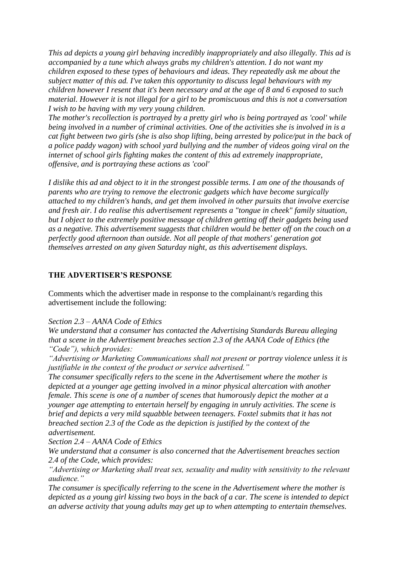*This ad depicts a young girl behaving incredibly inappropriately and also illegally. This ad is accompanied by a tune which always grabs my children's attention. I do not want my children exposed to these types of behaviours and ideas. They repeatedly ask me about the subject matter of this ad. I've taken this opportunity to discuss legal behaviours with my children however I resent that it's been necessary and at the age of 8 and 6 exposed to such material. However it is not illegal for a girl to be promiscuous and this is not a conversation I wish to be having with my very young children.*

*The mother's recollection is portrayed by a pretty girl who is being portrayed as 'cool' while being involved in a number of criminal activities. One of the activities she is involved in is a cat fight between two girls (she is also shop lifting, being arrested by police/put in the back of a police paddy wagon) with school yard bullying and the number of videos going viral on the internet of school girls fighting makes the content of this ad extremely inappropriate, offensive, and is portraying these actions as 'cool'*

*I dislike this ad and object to it in the strongest possible terms. I am one of the thousands of parents who are trying to remove the electronic gadgets which have become surgically attached to my children's hands, and get them involved in other pursuits that involve exercise and fresh air. I do realise this advertisement represents a "tongue in cheek" family situation, but I object to the extremely positive message of children getting off their gadgets being used as a negative. This advertisement suggests that children would be better off on the couch on a perfectly good afternoon than outside. Not all people of that mothers' generation got themselves arrested on any given Saturday night, as this advertisement displays.*

#### **THE ADVERTISER'S RESPONSE**

Comments which the advertiser made in response to the complainant/s regarding this advertisement include the following:

#### *Section 2.3 – AANA Code of Ethics*

*We understand that a consumer has contacted the Advertising Standards Bureau alleging that a scene in the Advertisement breaches section 2.3 of the AANA Code of Ethics (the "Code"), which provides:*

*"Advertising or Marketing Communications shall not present or portray violence unless it is justifiable in the context of the product or service advertised."*

*The consumer specifically refers to the scene in the Advertisement where the mother is depicted at a younger age getting involved in a minor physical altercation with another female. This scene is one of a number of scenes that humorously depict the mother at a younger age attempting to entertain herself by engaging in unruly activities. The scene is brief and depicts a very mild squabble between teenagers. Foxtel submits that it has not breached section 2.3 of the Code as the depiction is justified by the context of the advertisement.*

*Section 2.4 – AANA Code of Ethics*

*We understand that a consumer is also concerned that the Advertisement breaches section 2.4 of the Code, which provides:*

*"Advertising or Marketing shall treat sex, sexuality and nudity with sensitivity to the relevant audience."*

*The consumer is specifically referring to the scene in the Advertisement where the mother is depicted as a young girl kissing two boys in the back of a car. The scene is intended to depict an adverse activity that young adults may get up to when attempting to entertain themselves.*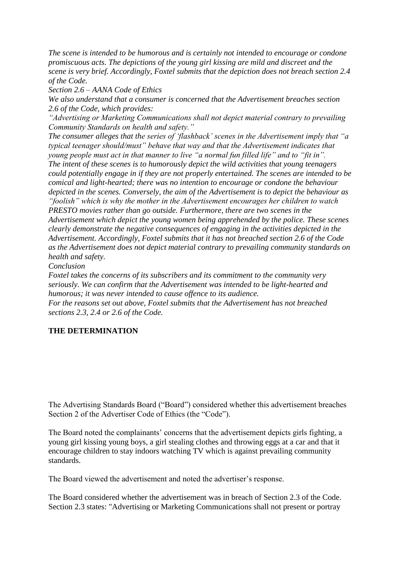*The scene is intended to be humorous and is certainly not intended to encourage or condone promiscuous acts. The depictions of the young girl kissing are mild and discreet and the scene is very brief. Accordingly, Foxtel submits that the depiction does not breach section 2.4 of the Code.*

*Section 2.6 – AANA Code of Ethics*

*We also understand that a consumer is concerned that the Advertisement breaches section 2.6 of the Code, which provides:*

*"Advertising or Marketing Communications shall not depict material contrary to prevailing Community Standards on health and safety."*

*The consumer alleges that the series of "flashback" scenes in the Advertisement imply that "a typical teenager should/must" behave that way and that the Advertisement indicates that young people must act in that manner to live "a normal fun filled life" and to "fit in". The intent of these scenes is to humorously depict the wild activities that young teenagers could potentially engage in if they are not properly entertained. The scenes are intended to be comical and light-hearted; there was no intention to encourage or condone the behaviour depicted in the scenes. Conversely, the aim of the Advertisement is to depict the behaviour as "foolish" which is why the mother in the Advertisement encourages her children to watch PRESTO movies rather than go outside. Furthermore, there are two scenes in the Advertisement which depict the young women being apprehended by the police. These scenes clearly demonstrate the negative consequences of engaging in the activities depicted in the Advertisement. Accordingly, Foxtel submits that it has not breached section 2.6 of the Code as the Advertisement does not depict material contrary to prevailing community standards on health and safety.*

*Conclusion*

*Foxtel takes the concerns of its subscribers and its commitment to the community very seriously. We can confirm that the Advertisement was intended to be light-hearted and humorous; it was never intended to cause offence to its audience.*

*For the reasons set out above, Foxtel submits that the Advertisement has not breached sections 2.3, 2.4 or 2.6 of the Code.*

## **THE DETERMINATION**

The Advertising Standards Board ("Board") considered whether this advertisement breaches Section 2 of the Advertiser Code of Ethics (the "Code").

The Board noted the complainants' concerns that the advertisement depicts girls fighting, a young girl kissing young boys, a girl stealing clothes and throwing eggs at a car and that it encourage children to stay indoors watching TV which is against prevailing community standards.

The Board viewed the advertisement and noted the advertiser"s response.

The Board considered whether the advertisement was in breach of Section 2.3 of the Code. Section 2.3 states: "Advertising or Marketing Communications shall not present or portray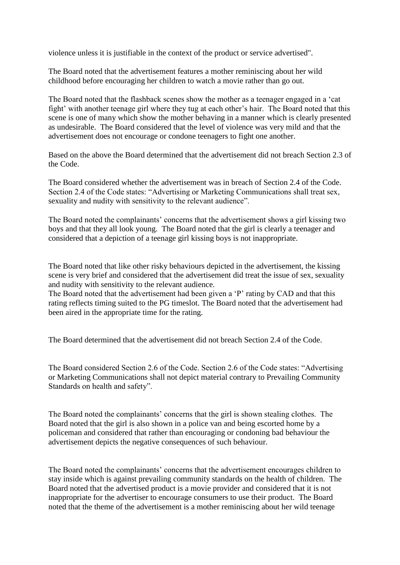violence unless it is justifiable in the context of the product or service advertised".

The Board noted that the advertisement features a mother reminiscing about her wild childhood before encouraging her children to watch a movie rather than go out.

The Board noted that the flashback scenes show the mother as a teenager engaged in a "cat fight" with another teenage girl where they tug at each other"s hair. The Board noted that this scene is one of many which show the mother behaving in a manner which is clearly presented as undesirable. The Board considered that the level of violence was very mild and that the advertisement does not encourage or condone teenagers to fight one another.

Based on the above the Board determined that the advertisement did not breach Section 2.3 of the Code.

The Board considered whether the advertisement was in breach of Section 2.4 of the Code. Section 2.4 of the Code states: "Advertising or Marketing Communications shall treat sex, sexuality and nudity with sensitivity to the relevant audience".

The Board noted the complainants' concerns that the advertisement shows a girl kissing two boys and that they all look young. The Board noted that the girl is clearly a teenager and considered that a depiction of a teenage girl kissing boys is not inappropriate.

The Board noted that like other risky behaviours depicted in the advertisement, the kissing scene is very brief and considered that the advertisement did treat the issue of sex, sexuality and nudity with sensitivity to the relevant audience.

The Board noted that the advertisement had been given a "P" rating by CAD and that this rating reflects timing suited to the PG timeslot. The Board noted that the advertisement had been aired in the appropriate time for the rating.

The Board determined that the advertisement did not breach Section 2.4 of the Code.

The Board considered Section 2.6 of the Code. Section 2.6 of the Code states: "Advertising or Marketing Communications shall not depict material contrary to Prevailing Community Standards on health and safety".

The Board noted the complainants' concerns that the girl is shown stealing clothes. The Board noted that the girl is also shown in a police van and being escorted home by a policeman and considered that rather than encouraging or condoning bad behaviour the advertisement depicts the negative consequences of such behaviour.

The Board noted the complainants' concerns that the advertisement encourages children to stay inside which is against prevailing community standards on the health of children. The Board noted that the advertised product is a movie provider and considered that it is not inappropriate for the advertiser to encourage consumers to use their product. The Board noted that the theme of the advertisement is a mother reminiscing about her wild teenage